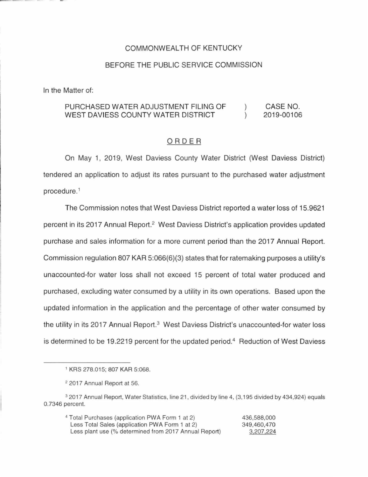## COMMONWEALTH OF KENTUCKY

#### BEFORE THE PUBLIC SERVICE COMMISSION

In the Matter of:

#### PURCHASED WATER ADJUSTMENT FILING OF CASE NO.  $\left( \right)$ WEST DAVIESS COUNTY WATER DISTRICT  $\lambda$ 2019-00106

#### ORDER

On May 1, 2019, West Daviess County Water District (West Daviess District) tendered an application to adjust its rates pursuant to the purchased water adjustment procedure.<sup>1</sup>

The Commission notes that West Daviess District reported a water loss of 15.9621 percent in its 2017 Annual Report.<sup>2</sup> West Daviess District's application provides updated purchase and sales information for a more current period than the 2017 Annual Report. Commission regulation 807 KAR 5:066(6)(3) states that for ratemaking purposes a utility's unaccounted-for water loss shall not exceed 15 percent of total water produced and purchased, excluding water consumed by a utility in its own operations. Based upon the updated information in the application and the percentage of other water consumed by the utility in its 2017 Annual Report.<sup>3</sup> West Daviess District's unaccounted-for water loss is determined to be 19.2219 percent for the updated period.<sup>4</sup> Reduction of West Daviess

<sup>4</sup>Total Purchases (application PWA Form 1 at 2) Less Total Sales (application PWA Form 1 at 2) Less plant use (% determined from 2017 Annual Report) 436,588,000 349,460,470 3,207,224

<sup>1</sup>KRS 278.015; 807 KAR 5:068.

<sup>2</sup>2017 Annual Report at 56.

<sup>3</sup>2017 Annual Report, Water Statistics, line 21 , divided by line 4, (3, 195 divided by 434,924) equals O. 7346 percent.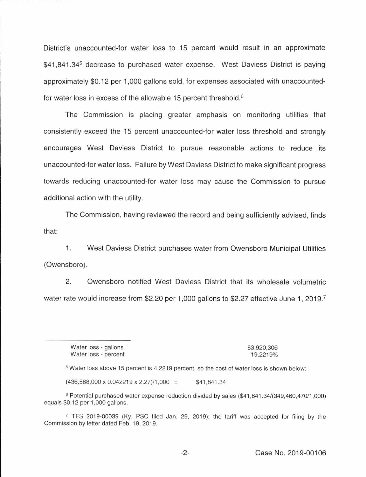District's unaccounted-for water loss to 15 percent would result in an approximate \$41,841,34<sup>5</sup> decrease to purchased water expense. West Daviess District is paying approximately \$0.12 per 1,000 gallons sold, for expenses associated with unaccountedfor water loss in excess of the allowable 15 percent threshold.<sup>6</sup>

The Commission is placing greater emphasis on monitoring utilities that consistently exceed the 15 percent unaccounted-for water loss threshold and strongly encourages West Daviess District to pursue reasonable actions to reduce its unaccounted-for water loss. Failure by West Daviess District to make significant progress towards reducing unaccounted-for water loss may cause the Commission to pursue additional action with the utility.

The Commission, having reviewed the record and being sufficiently advised, finds that:

1. West Daviess District purchases water from Owensboro Municipal Utilities (Owensboro).

2. Owensboro notified West Daviess District that its wholesale volumetric water rate would increase from \$2.20 per 1,000 gallons to \$2.27 effective June 1, 2019.<sup>7</sup>

Water loss - gallons Water loss - percent 83,920,306 19.2219%

<sup>5</sup>Water loss above 15 percent is 4.2219 percent, so the cost of water loss is shown below:

 $(436,588,000 \times 0.042219 \times 2.27)/1,000 = $41,841.34$ 

<sup>6</sup> Potential purchased water expense reduction divided by sales (\$41,841.34/(349,460,470/1,000) equals \$0.12 per 1,000 gallons.

<sup>7</sup>TFS 2019-00039 (Ky. PSC filed Jan. 29, 2019); the tariff was accepted for filing by the Commission by letter dated Feb. 19, 2019.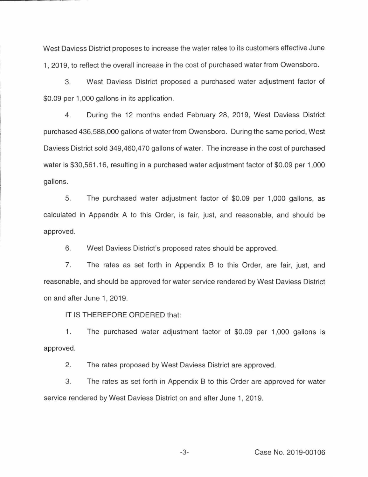West Daviess District proposes to increase the water rates to its customers effective June 1, 2019, to reflect the overall increase in the cost of purchased water from Owensboro.

3. West Daviess District proposed a purchased water adjustment factor of \$0.09 per 1,000 gallons in its application.

4. During the 12 months ended February 28, 2019, West Daviess District purchased 436,588,000 gallons of water from Owensboro. During the same period, West Daviess District sold 349,460,470 gallons of water. The increase in the cost of purchased water is \$30,561 .16, resulting in a purchased water adjustment factor of \$0.09 per 1,000 gallons.

5. The purchased water adjustment factor of \$0.09 per 1,000 gallons, as calculated in Appendix A to this Order, is fair, just, and reasonable, and should be approved.

6. West Daviess District's proposed rates should be approved.

7. The rates as set forth in Appendix B to this Order, are fair, just, and reasonable, and should be approved for water service rendered by West Daviess District on and after June 1, 2019.

IT IS THEREFORE ORDERED that:

1. The purchased water adjustment factor of \$0.09 per 1,000 gallons is approved.

2. The rates proposed by West Daviess District are approved.

3. The rates as set forth in Appendix B to this Order are approved for water service rendered by West Daviess District on and after June 1, 2019.

-3- Case No. 2019-00106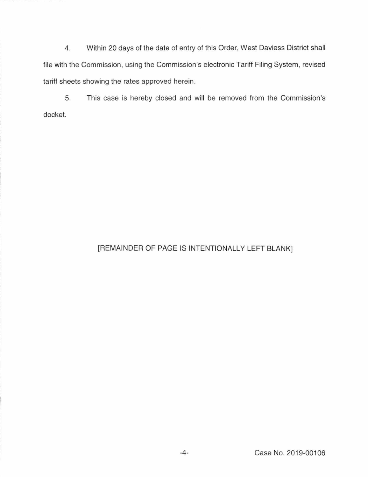4. Within 20 days of the date of entry of this Order, West Daviess District shall file with the Commission, using the Commission's electronic Tariff Filing System, revised tariff sheets showing the rates approved herein.

5. This case is hereby closed and will be removed from the Commission's docket.

## [REMAINDER OF PAGE IS INTENTIONALLY LEFT BLANK]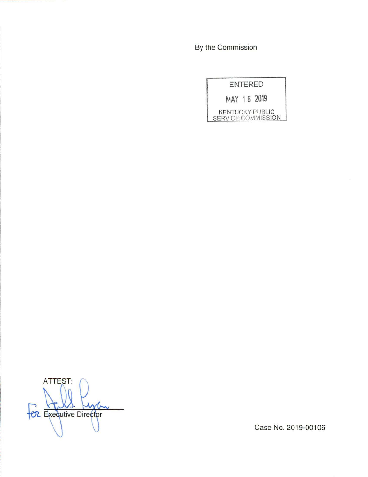By the Commission

| <b>ENTERED</b> |                                              |
|----------------|----------------------------------------------|
| MAY 16 2019    |                                              |
|                | <b>KENTUCKY PUBLIC</b><br>SERVICE COMMISSION |

ATTEST: **POL** Executive Director

Case No. 2019-00106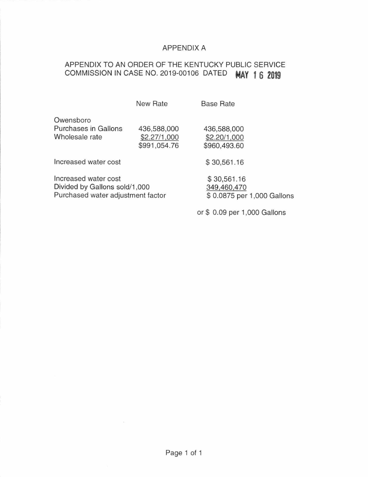## APPENDIX A

# APPENDIX TO AN ORDER OF THE KENTUCKY PUBLIC SERVICE COMMISSION IN CASE NO. 2019-00106 DATED **MAY 1 6 2019**

|                                                                                            | New Rate                                    | <b>Base Rate</b>                                         |
|--------------------------------------------------------------------------------------------|---------------------------------------------|----------------------------------------------------------|
| Owensboro<br><b>Purchases in Gallons</b><br>Wholesale rate                                 | 436,588,000<br>\$2.27/1,000<br>\$991,054.76 | 436,588,000<br>\$2.20/1,000<br>\$960,493.60              |
| Increased water cost                                                                       |                                             | \$30,561.16                                              |
| Increased water cost<br>Divided by Gallons sold/1,000<br>Purchased water adjustment factor |                                             | \$30,561.16<br>349,460,470<br>\$0.0875 per 1,000 Gallons |

or\$ 0.09 per 1,000 Gallons

Page 1 of 1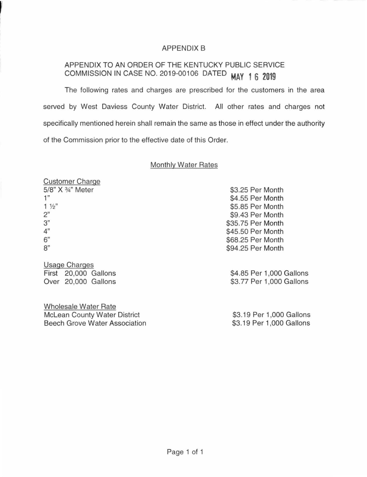## APPENDIX B

# APPENDIX TO AN ORDER OF THE KENTUCKY PUBLIC SERVICE COMMISSION IN CASE NO. 2019-00106 DATED **MAY 1 6 2019**

The following rates and charges are prescribed for the customers in the area served by West Daviess County Water District. All other rates and charges not specifically mentioned herein shall remain the same as those in effect under the authority of the Commission prior to the effective date of this Order.

### Monthly Water Rates

| <b>Customer Charge</b> |                          |
|------------------------|--------------------------|
| 5/8" X 3/4" Meter      | \$3.25 Per Month         |
| 1"                     | \$4.55 Per Month         |
| $1\frac{1}{2}$         | \$5.85 Per Month         |
| 2"                     | \$9.43 Per Month         |
| 3"                     | \$35.75 Per Month        |
| 4"                     | \$45.50 Per Month        |
| 6"                     | \$68.25 Per Month        |
| 8"                     | \$94.25 Per Month        |
| <b>Usage Charges</b>   |                          |
| First 20,000 Gallons   | \$4.85 Per 1,000 Gallons |

First 20,000 Gallons Over 20,000 Gallons

Wholesale Water Rate Mclean County Water District Beech Grove Water Association

\$3.19 Per 1,000 Gallons \$3.19 Per 1 ,000 Gallons

\$3.77 Per 1,000 Gallons